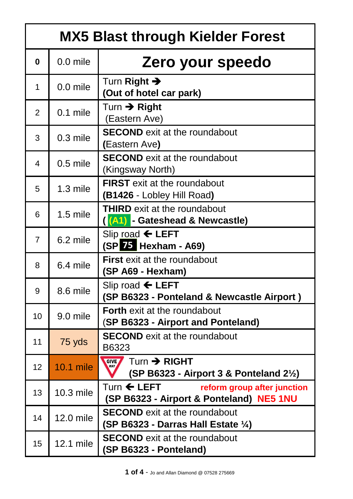|                 | <b>MX5 Blast through Kielder Forest</b> |                                                                                                   |  |
|-----------------|-----------------------------------------|---------------------------------------------------------------------------------------------------|--|
| $\bf{0}$        | 0.0 mile                                | Zero your speedo                                                                                  |  |
| 1               | $0.0$ mile                              | Turn Right $\rightarrow$<br>(Out of hotel car park)                                               |  |
| $\overline{2}$  | $0.1$ mile                              | Turn $\rightarrow$ Right<br>(Eastern Ave)                                                         |  |
| 3               | $0.3$ mile                              | <b>SECOND</b> exit at the roundabout<br>(Eastern Ave)                                             |  |
| $\overline{4}$  | $0.5$ mile                              | <b>SECOND</b> exit at the roundabout<br>(Kingsway North)                                          |  |
| 5               | 1.3 mile                                | <b>FIRST</b> exit at the roundabout<br>(B1426 - Lobley Hill Road)                                 |  |
| 6               | $1.5$ mile                              | <b>THIRD</b> exit at the roundabout<br>(A1) - Gateshead & Newcastle)                              |  |
| $\overline{7}$  | 6.2 mile                                | Slip road $\leftarrow$ LEFT<br>$(SP25$ Hexham - A69)                                              |  |
| 8               | 6.4 mile                                | <b>First</b> exit at the roundabout<br>(SP A69 - Hexham)                                          |  |
| 9               | 8.6 mile                                | Slip road $\leftarrow$ LEFT<br>(SP B6323 - Ponteland & Newcastle Airport)                         |  |
| 10              | 9.0 mile                                | <b>Forth</b> exit at the roundabout<br>(SP B6323 - Airport and Ponteland)                         |  |
| 11              | 75 yds                                  | <b>SECOND</b> exit at the roundabout<br>B6323                                                     |  |
| 12 <sub>2</sub> | <b>10.1 mile</b>                        | Turn $\rightarrow$ RIGHT<br><b>GIVE</b><br>(SP B6323 - Airport 3 & Ponteland $2\frac{1}{2}$ )     |  |
| 13              | 10.3 mile                               | Turn $\leftarrow$ LEFT<br>reform group after junction<br>(SP B6323 - Airport & Ponteland) NE5 1NU |  |
| 14              | 12.0 mile                               | <b>SECOND</b> exit at the roundabout<br>(SP B6323 - Darras Hall Estate 1/4)                       |  |
| 15              | 12.1 mile                               | <b>SECOND</b> exit at the roundabout<br>(SP B6323 - Ponteland)                                    |  |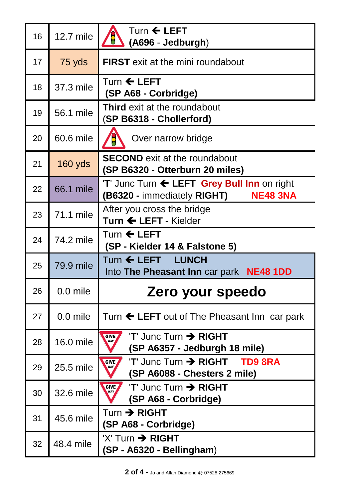| 16 | 12.7 mile  | Turn $\leftarrow$ LEFT<br>18<br>(A696 - Jedburgh)                                          |
|----|------------|--------------------------------------------------------------------------------------------|
| 17 | 75 yds     | <b>FIRST</b> exit at the mini roundabout                                                   |
| 18 | 37.3 mile  | Turn $\leftarrow$ LEFT<br>(SP A68 - Corbridge)                                             |
| 19 | 56.1 mile  | <b>Third</b> exit at the roundabout<br><b>SP B6318 - Chollerford)</b>                      |
| 20 | 60.6 mile  | Over narrow bridge                                                                         |
| 21 | $160$ yds  | <b>SECOND</b> exit at the roundabout<br>(SP B6320 - Otterburn 20 miles)                    |
| 22 | 66.1 mile  | 'T' Junc Turn ← LEFT Grey Bull Inn on right<br>(B6320 - immediately RIGHT) NE48 3NA        |
| 23 | 71.1 mile  | After you cross the bridge<br>Turn ← LEFT - Kielder                                        |
| 24 | 74.2 mile  | Turn $\leftarrow$ LEFT<br>(SP - Kielder 14 & Falstone 5)                                   |
| 25 | 79.9 mile  | Turn ← LEFT LUNCH<br>Into The Pheasant Inn car park NE48 1DD                               |
| 26 | 0.0 mile   | Zero your speedo                                                                           |
| 27 | $0.0$ mile | Turn $\leftarrow$ LEFT out of The Pheasant Inn car park                                    |
| 28 | 16.0 mile  | $'T'$ Junc Turn $\rightarrow$ RIGHT<br><b>GIVE</b><br>WAY<br>(SP A6357 - Jedburgh 18 mile) |
| 29 | 25.5 mile  | T' Junc Turn > RIGHT TD9 8RA<br><b>GIVE</b><br><b>WAY</b><br>(SP A6088 - Chesters 2 mile)  |
| 30 |            | $'T'$ Junc Turn $\rightarrow$ RIGHT<br><b>GIVE</b><br><b>WAY</b>                           |
|    | 32.6 mile  | (SP A68 - Corbridge)                                                                       |
| 31 | 45.6 mile  | $Turn \rightarrow RIGHT$<br>(SP A68 - Corbridge)                                           |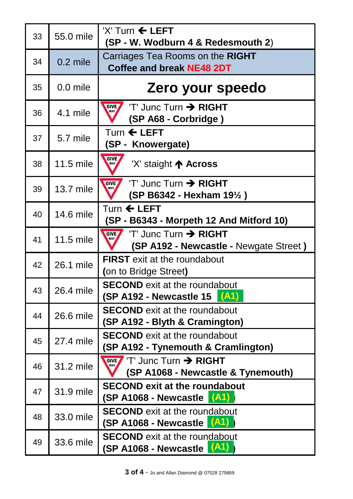| 33 | 55.0 mile  | $'X'$ Turn $\leftarrow$ LEFT<br>(SP - W. Wodburn 4 & Redesmouth 2)                                              |
|----|------------|-----------------------------------------------------------------------------------------------------------------|
| 34 | $0.2$ mile | Carriages Tea Rooms on the RIGHT<br><b>Coffee and break NE48 2DT</b>                                            |
| 35 | $0.0$ mile | Zero your speedo                                                                                                |
| 36 | 4.1 mile   | $'T'$ Junc Turn $\rightarrow$ RIGHT<br><b>GIVE</b><br>WAY<br>(SP A68 - Corbridge)                               |
| 37 | 5.7 mile   | Turn $\leftarrow$ LEFT<br>(SP - Knowergate)                                                                     |
| 38 | 11.5 mile  | <b>GIVE</b><br>WAY<br>'X' staight ↑ Across                                                                      |
| 39 | 13.7 mile  | $'T'$ Junc Turn $\rightarrow$ RIGHT<br><b>GIVE</b><br>(SP B6342 - Hexham 191/2)                                 |
| 40 | 14.6 mile  | Turn $\leftarrow$ LEFT<br>(SP - B6343 - Morpeth 12 And Mitford 10)                                              |
| 41 | 11.5 mile  | $T$ Junc Turn $\rightarrow$ RIGHT<br><b>GIVE</b><br><b>WAY</b><br><b>(SP A192 - Newcastle - Newgate Street)</b> |
| 42 | 26.1 mile  | <b>FIRST</b> exit at the roundabout<br>(on to Bridge Street)                                                    |
| 43 | 26.4 mile  | <b>SECOND</b> exit at the roundabout<br>$(SP A192 - Newcastle 15   (A1)$                                        |
| 44 | 26.6 mile  | <b>SECOND</b> exit at the roundabout<br>(SP A192 - Blyth & Cramington)                                          |
| 45 | 27.4 mile  | <b>SECOND</b> exit at the roundabout<br>(SP A192 - Tynemouth & Cramlington)                                     |
| 46 | 31.2 mile  | $'T'$ Junc Turn $\rightarrow$ RIGHT<br><b>GIVE</b><br>(SP A1068 - Newcastle & Tynemouth)                        |
| 47 | 31.9 mile  | <b>SECOND exit at the roundabout</b><br>$(SP A1068 - Newcastle (A1)$                                            |
| 48 | 33.0 mile  | <b>SECOND</b> exit at the roundabout<br>$(SP A1068 - Newcastle A1)$                                             |
| 49 | 33.6 mile  | <b>SECOND</b> exit at the roundabout<br>$(SP A1068 - Newcastle (A1) )$                                          |